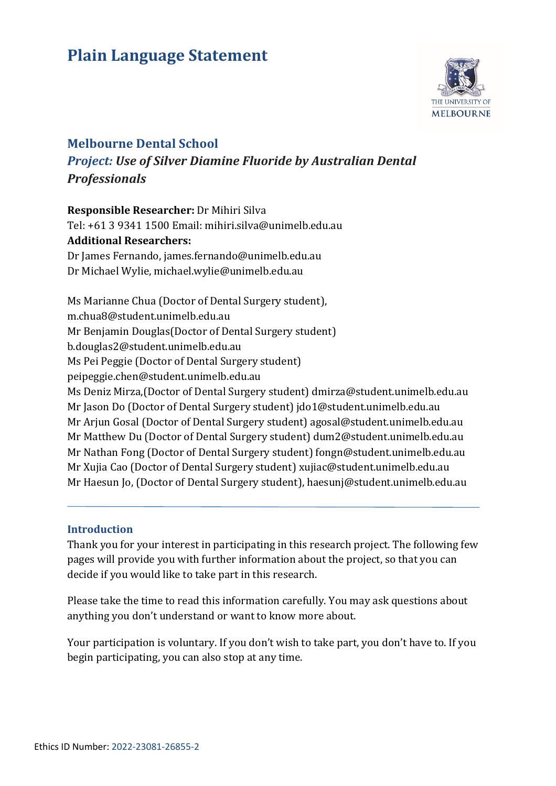# **Plain Language Statement**



# **Melbourne Dental School**

*Project: Use of Silver Diamine Fluoride by Australian Dental Professionals*

**Responsible Researcher:** Dr Mihiri Silva Tel: +61 3 9341 1500 Email: mihiri.silva@unimelb.edu.au **Additional Researchers:** Dr James Fernando, james.fernando@unimelb.edu.au Dr Michael Wylie, michael.wylie@unimelb.edu.au

Ms Marianne Chua (Doctor of Dental Surgery student), m.chua8@student.unimelb.edu.au Mr Benjamin Douglas(Doctor of Dental Surgery student) b.douglas2@student.unimelb.edu.au Ms Pei Peggie (Doctor of Dental Surgery student) peipeggie.chen@student.unimelb.edu.au Ms Deniz Mirza,(Doctor of Dental Surgery student) dmirza@student.unimelb.edu.au Mr Jason Do (Doctor of Dental Surgery student) jdo1@student.unimelb.edu.au Mr Arjun Gosal (Doctor of Dental Surgery student) agosal@student.unimelb.edu.au Mr Matthew Du (Doctor of Dental Surgery student) dum2@student.unimelb.edu.au Mr Nathan Fong (Doctor of Dental Surgery student) fongn@student.unimelb.edu.au Mr Xujia Cao (Doctor of Dental Surgery student) xujiac@student.unimelb.edu.au Mr Haesun Jo, (Doctor of Dental Surgery student), haesunj@student.unimelb.edu.au

### **Introduction**

Thank you for your interest in participating in this research project. The following few pages will provide you with further information about the project, so that you can decide if you would like to take part in this research.

Please take the time to read this information carefully. You may ask questions about anything you don't understand or want to know more about.

Your participation is voluntary. If you don't wish to take part, you don't have to. If you begin participating, you can also stop at any time.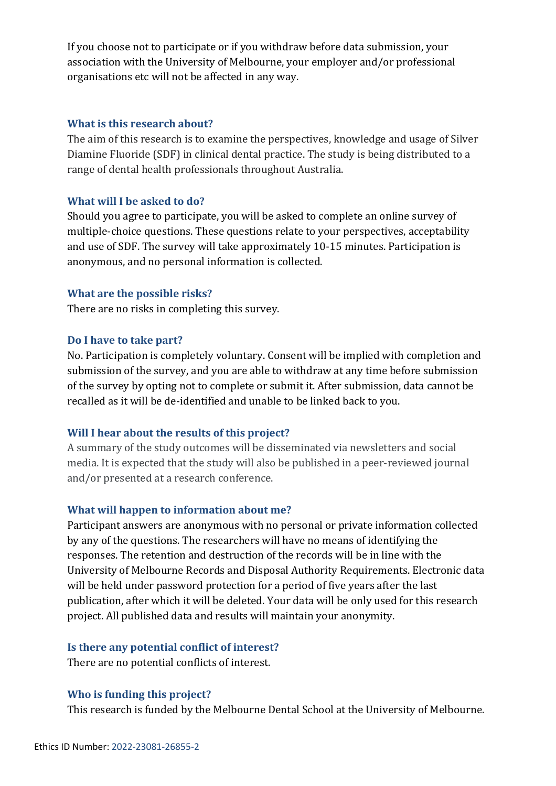If you choose not to participate or if you withdraw before data submission, your association with the University of Melbourne, your employer and/or professional organisations etc will not be affected in any way.

#### **What is this research about?**

The aim of this research is to examine the perspectives, knowledge and usage of Silver Diamine Fluoride (SDF) in clinical dental practice. The study is being distributed to a range of dental health professionals throughout Australia.

#### **What will I be asked to do?**

Should you agree to participate, you will be asked to complete an online survey of multiple-choice questions. These questions relate to your perspectives, acceptability and use of SDF. The survey will take approximately 10-15 minutes. Participation is anonymous, and no personal information is collected.

### **What are the possible risks?**

There are no risks in completing this survey.

#### **Do I have to take part?**

No. Participation is completely voluntary. Consent will be implied with completion and submission of the survey, and you are able to withdraw at any time before submission of the survey by opting not to complete or submit it. After submission, data cannot be recalled as it will be de-identified and unable to be linked back to you.

### **Will I hear about the results of this project?**

A summary of the study outcomes will be disseminated via newsletters and social media. It is expected that the study will also be published in a peer-reviewed journal and/or presented at a research conference.

### **What will happen to information about me?**

Participant answers are anonymous with no personal or private information collected by any of the questions. The researchers will have no means of identifying the responses. The retention and destruction of the records will be in line with the University of Melbourne Records and Disposal Authority Requirements. Electronic data will be held under password protection for a period of five years after the last publication, after which it will be deleted. Your data will be only used for this research project. All published data and results will maintain your anonymity.

#### **Is there any potential conflict of interest?**

There are no potential conflicts of interest.

### **Who is funding this project?**

This research is funded by the Melbourne Dental School at the University of Melbourne.